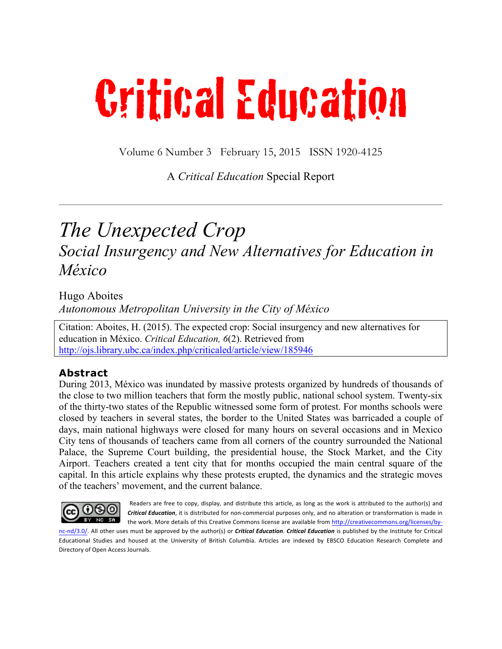# Critical Education

Volume 6 Number 3 February 15, 2015 ISSN 1920-4125

#### A *Critical Education* Special Report

### *The Unexpected Crop Social Insurgency and New Alternatives for Education in México*

Hugo Aboites *Autonomous Metropolitan University in the City of México*

Citation: Aboites, H. (2015). The expected crop: Social insurgency and new alternatives for education in México. *Critical Education, 6*(2). Retrieved from http://ojs.library.ubc.ca/index.php/criticaled/article/view/185946

#### **Abstract**

During 2013, México was inundated by massive protests organized by hundreds of thousands of the close to two million teachers that form the mostly public, national school system. Twenty-six of the thirty-two states of the Republic witnessed some form of protest. For months schools were closed by teachers in several states, the border to the United States was barricaded a couple of days, main national highways were closed for many hours on several occasions and in Mexico City tens of thousands of teachers came from all corners of the country surrounded the National Palace, the Supreme Court building, the presidential house, the Stock Market, and the City Airport. Teachers created a tent city that for months occupied the main central square of the capital. In this article explains why these protests erupted, the dynamics and the strategic moves of the teachers' movement, and the current balance.



Readers are free to copy, display, and distribute this article, as long as the work is attributed to the author(s) and *Critical Education*, it is distributed for non-commercial purposes only, and no alteration or transformation is made in the work. More details of this Creative Commons license are available from http://creativecommons.org/licenses/by-

nc-nd/3.0/. All other uses must be approved by the author(s) or *Critical Education*. *Critical Education* is published by the Institute for Critical Educational Studies and housed at the University of British Columbia. Articles are indexed by EBSCO Education Research Complete and Directory of Open Access Journals.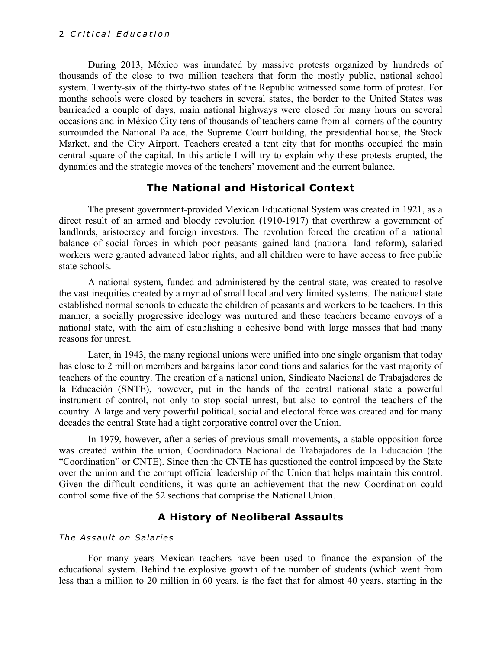During 2013, México was inundated by massive protests organized by hundreds of thousands of the close to two million teachers that form the mostly public, national school system. Twenty-six of the thirty-two states of the Republic witnessed some form of protest. For months schools were closed by teachers in several states, the border to the United States was barricaded a couple of days, main national highways were closed for many hours on several occasions and in México City tens of thousands of teachers came from all corners of the country surrounded the National Palace, the Supreme Court building, the presidential house, the Stock Market, and the City Airport. Teachers created a tent city that for months occupied the main central square of the capital. In this article I will try to explain why these protests erupted, the dynamics and the strategic moves of the teachers' movement and the current balance.

#### **The National and Historical Context**

The present government-provided Mexican Educational System was created in 1921, as a direct result of an armed and bloody revolution (1910-1917) that overthrew a government of landlords, aristocracy and foreign investors. The revolution forced the creation of a national balance of social forces in which poor peasants gained land (national land reform), salaried workers were granted advanced labor rights, and all children were to have access to free public state schools.

A national system, funded and administered by the central state, was created to resolve the vast inequities created by a myriad of small local and very limited systems. The national state established normal schools to educate the children of peasants and workers to be teachers. In this manner, a socially progressive ideology was nurtured and these teachers became envoys of a national state, with the aim of establishing a cohesive bond with large masses that had many reasons for unrest.

Later, in 1943, the many regional unions were unified into one single organism that today has close to 2 million members and bargains labor conditions and salaries for the vast majority of teachers of the country. The creation of a national union, Sindicato Nacional de Trabajadores de la Educación (SNTE), however, put in the hands of the central national state a powerful instrument of control, not only to stop social unrest, but also to control the teachers of the country. A large and very powerful political, social and electoral force was created and for many decades the central State had a tight corporative control over the Union.

In 1979, however, after a series of previous small movements, a stable opposition force was created within the union, Coordinadora Nacional de Trabajadores de la Educación (the "Coordination" or CNTE). Since then the CNTE has questioned the control imposed by the State over the union and the corrupt official leadership of the Union that helps maintain this control. Given the difficult conditions, it was quite an achievement that the new Coordination could control some five of the 52 sections that comprise the National Union.

#### **A History of Neoliberal Assaults**

#### *The Assault on Salaries*

For many years Mexican teachers have been used to finance the expansion of the educational system. Behind the explosive growth of the number of students (which went from less than a million to 20 million in 60 years, is the fact that for almost 40 years, starting in the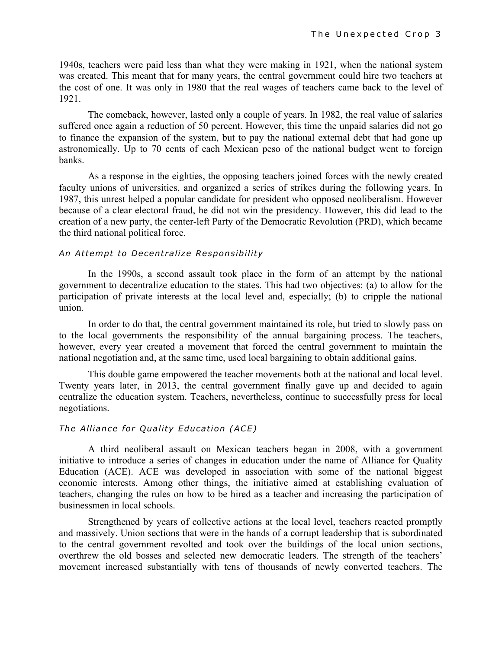1940s, teachers were paid less than what they were making in 1921, when the national system was created. This meant that for many years, the central government could hire two teachers at the cost of one. It was only in 1980 that the real wages of teachers came back to the level of 1921.

The comeback, however, lasted only a couple of years. In 1982, the real value of salaries suffered once again a reduction of 50 percent. However, this time the unpaid salaries did not go to finance the expansion of the system, but to pay the national external debt that had gone up astronomically. Up to 70 cents of each Mexican peso of the national budget went to foreign banks.

As a response in the eighties, the opposing teachers joined forces with the newly created faculty unions of universities, and organized a series of strikes during the following years. In 1987, this unrest helped a popular candidate for president who opposed neoliberalism. However because of a clear electoral fraud, he did not win the presidency. However, this did lead to the creation of a new party, the center-left Party of the Democratic Revolution (PRD), which became the third national political force.

#### *An Attempt to Decentralize Responsibility*

In the 1990s, a second assault took place in the form of an attempt by the national government to decentralize education to the states. This had two objectives: (a) to allow for the participation of private interests at the local level and, especially; (b) to cripple the national union.

In order to do that, the central government maintained its role, but tried to slowly pass on to the local governments the responsibility of the annual bargaining process. The teachers, however, every year created a movement that forced the central government to maintain the national negotiation and, at the same time, used local bargaining to obtain additional gains.

This double game empowered the teacher movements both at the national and local level. Twenty years later, in 2013, the central government finally gave up and decided to again centralize the education system. Teachers, nevertheless, continue to successfully press for local negotiations.

#### *The Alliance for Quality Education (ACE)*

A third neoliberal assault on Mexican teachers began in 2008, with a government initiative to introduce a series of changes in education under the name of Alliance for Quality Education (ACE). ACE was developed in association with some of the national biggest economic interests. Among other things, the initiative aimed at establishing evaluation of teachers, changing the rules on how to be hired as a teacher and increasing the participation of businessmen in local schools.

Strengthened by years of collective actions at the local level, teachers reacted promptly and massively. Union sections that were in the hands of a corrupt leadership that is subordinated to the central government revolted and took over the buildings of the local union sections, overthrew the old bosses and selected new democratic leaders. The strength of the teachers' movement increased substantially with tens of thousands of newly converted teachers. The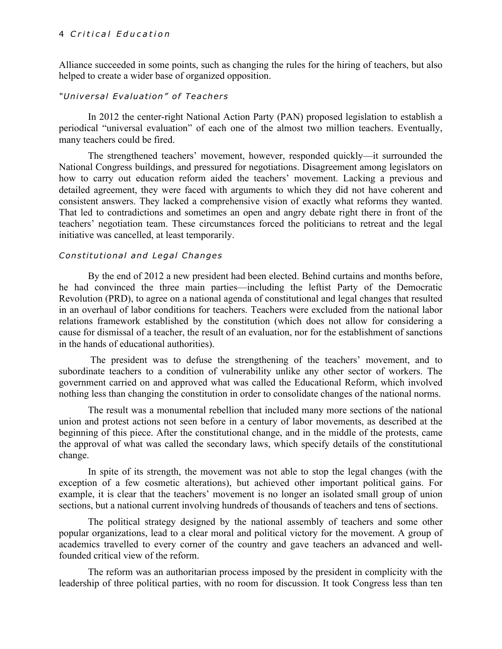#### 4 *Critical Education*

Alliance succeeded in some points, such as changing the rules for the hiring of teachers, but also helped to create a wider base of organized opposition.

#### *"Universal Evaluation" of Teachers*

In 2012 the center-right National Action Party (PAN) proposed legislation to establish a periodical "universal evaluation" of each one of the almost two million teachers. Eventually, many teachers could be fired.

The strengthened teachers' movement, however, responded quickly—it surrounded the National Congress buildings, and pressured for negotiations. Disagreement among legislators on how to carry out education reform aided the teachers' movement. Lacking a previous and detailed agreement, they were faced with arguments to which they did not have coherent and consistent answers. They lacked a comprehensive vision of exactly what reforms they wanted. That led to contradictions and sometimes an open and angry debate right there in front of the teachers' negotiation team. These circumstances forced the politicians to retreat and the legal initiative was cancelled, at least temporarily.

#### *Constitutional and Legal Changes*

By the end of 2012 a new president had been elected. Behind curtains and months before, he had convinced the three main parties—including the leftist Party of the Democratic Revolution (PRD), to agree on a national agenda of constitutional and legal changes that resulted in an overhaul of labor conditions for teachers. Teachers were excluded from the national labor relations framework established by the constitution (which does not allow for considering a cause for dismissal of a teacher, the result of an evaluation, nor for the establishment of sanctions in the hands of educational authorities).

The president was to defuse the strengthening of the teachers' movement, and to subordinate teachers to a condition of vulnerability unlike any other sector of workers. The government carried on and approved what was called the Educational Reform, which involved nothing less than changing the constitution in order to consolidate changes of the national norms.

The result was a monumental rebellion that included many more sections of the national union and protest actions not seen before in a century of labor movements, as described at the beginning of this piece. After the constitutional change, and in the middle of the protests, came the approval of what was called the secondary laws, which specify details of the constitutional change.

In spite of its strength, the movement was not able to stop the legal changes (with the exception of a few cosmetic alterations), but achieved other important political gains. For example, it is clear that the teachers' movement is no longer an isolated small group of union sections, but a national current involving hundreds of thousands of teachers and tens of sections.

The political strategy designed by the national assembly of teachers and some other popular organizations, lead to a clear moral and political victory for the movement. A group of academics travelled to every corner of the country and gave teachers an advanced and wellfounded critical view of the reform.

The reform was an authoritarian process imposed by the president in complicity with the leadership of three political parties, with no room for discussion. It took Congress less than ten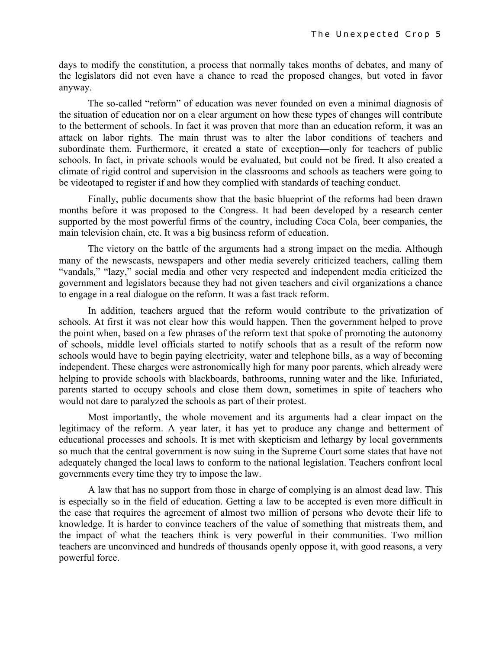days to modify the constitution, a process that normally takes months of debates, and many of the legislators did not even have a chance to read the proposed changes, but voted in favor anyway.

The so-called "reform" of education was never founded on even a minimal diagnosis of the situation of education nor on a clear argument on how these types of changes will contribute to the betterment of schools. In fact it was proven that more than an education reform, it was an attack on labor rights. The main thrust was to alter the labor conditions of teachers and subordinate them. Furthermore, it created a state of exception—only for teachers of public schools. In fact, in private schools would be evaluated, but could not be fired. It also created a climate of rigid control and supervision in the classrooms and schools as teachers were going to be videotaped to register if and how they complied with standards of teaching conduct.

Finally, public documents show that the basic blueprint of the reforms had been drawn months before it was proposed to the Congress. It had been developed by a research center supported by the most powerful firms of the country, including Coca Cola, beer companies, the main television chain, etc. It was a big business reform of education.

The victory on the battle of the arguments had a strong impact on the media. Although many of the newscasts, newspapers and other media severely criticized teachers, calling them "vandals," "lazy," social media and other very respected and independent media criticized the government and legislators because they had not given teachers and civil organizations a chance to engage in a real dialogue on the reform. It was a fast track reform.

In addition, teachers argued that the reform would contribute to the privatization of schools. At first it was not clear how this would happen. Then the government helped to prove the point when, based on a few phrases of the reform text that spoke of promoting the autonomy of schools, middle level officials started to notify schools that as a result of the reform now schools would have to begin paying electricity, water and telephone bills, as a way of becoming independent. These charges were astronomically high for many poor parents, which already were helping to provide schools with blackboards, bathrooms, running water and the like. Infuriated, parents started to occupy schools and close them down, sometimes in spite of teachers who would not dare to paralyzed the schools as part of their protest.

Most importantly, the whole movement and its arguments had a clear impact on the legitimacy of the reform. A year later, it has yet to produce any change and betterment of educational processes and schools. It is met with skepticism and lethargy by local governments so much that the central government is now suing in the Supreme Court some states that have not adequately changed the local laws to conform to the national legislation. Teachers confront local governments every time they try to impose the law.

A law that has no support from those in charge of complying is an almost dead law. This is especially so in the field of education. Getting a law to be accepted is even more difficult in the case that requires the agreement of almost two million of persons who devote their life to knowledge. It is harder to convince teachers of the value of something that mistreats them, and the impact of what the teachers think is very powerful in their communities. Two million teachers are unconvinced and hundreds of thousands openly oppose it, with good reasons, a very powerful force.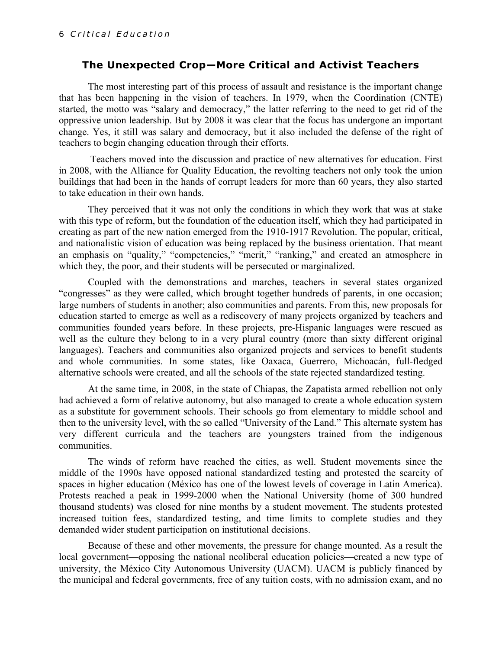#### **The Unexpected Crop—More Critical and Activist Teachers**

The most interesting part of this process of assault and resistance is the important change that has been happening in the vision of teachers. In 1979, when the Coordination (CNTE) started, the motto was "salary and democracy," the latter referring to the need to get rid of the oppressive union leadership. But by 2008 it was clear that the focus has undergone an important change. Yes, it still was salary and democracy, but it also included the defense of the right of teachers to begin changing education through their efforts.

Teachers moved into the discussion and practice of new alternatives for education. First in 2008, with the Alliance for Quality Education, the revolting teachers not only took the union buildings that had been in the hands of corrupt leaders for more than 60 years, they also started to take education in their own hands.

They perceived that it was not only the conditions in which they work that was at stake with this type of reform, but the foundation of the education itself, which they had participated in creating as part of the new nation emerged from the 1910-1917 Revolution. The popular, critical, and nationalistic vision of education was being replaced by the business orientation. That meant an emphasis on "quality," "competencies," "merit," "ranking," and created an atmosphere in which they, the poor, and their students will be persecuted or marginalized.

Coupled with the demonstrations and marches, teachers in several states organized "congresses" as they were called, which brought together hundreds of parents, in one occasion; large numbers of students in another; also communities and parents. From this, new proposals for education started to emerge as well as a rediscovery of many projects organized by teachers and communities founded years before. In these projects, pre-Hispanic languages were rescued as well as the culture they belong to in a very plural country (more than sixty different original languages). Teachers and communities also organized projects and services to benefit students and whole communities. In some states, like Oaxaca, Guerrero, Michoacán, full-fledged alternative schools were created, and all the schools of the state rejected standardized testing.

At the same time, in 2008, in the state of Chiapas, the Zapatista armed rebellion not only had achieved a form of relative autonomy, but also managed to create a whole education system as a substitute for government schools. Their schools go from elementary to middle school and then to the university level, with the so called "University of the Land." This alternate system has very different curricula and the teachers are youngsters trained from the indigenous communities.

The winds of reform have reached the cities, as well. Student movements since the middle of the 1990s have opposed national standardized testing and protested the scarcity of spaces in higher education (México has one of the lowest levels of coverage in Latin America). Protests reached a peak in 1999-2000 when the National University (home of 300 hundred thousand students) was closed for nine months by a student movement. The students protested increased tuition fees, standardized testing, and time limits to complete studies and they demanded wider student participation on institutional decisions.

Because of these and other movements, the pressure for change mounted. As a result the local government—opposing the national neoliberal education policies—created a new type of university, the México City Autonomous University (UACM). UACM is publicly financed by the municipal and federal governments, free of any tuition costs, with no admission exam, and no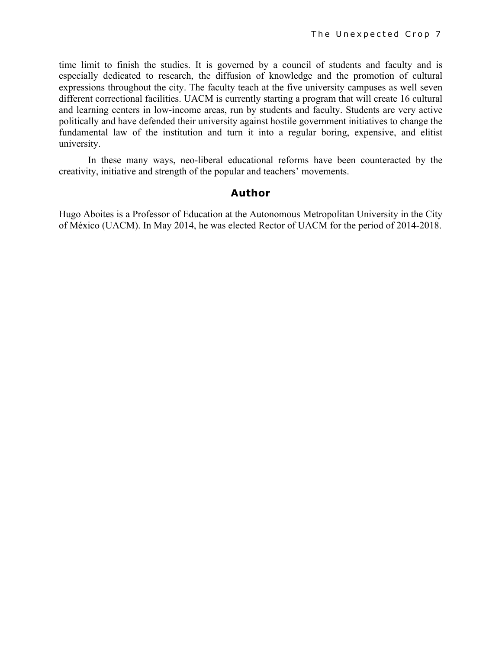time limit to finish the studies. It is governed by a council of students and faculty and is especially dedicated to research, the diffusion of knowledge and the promotion of cultural expressions throughout the city. The faculty teach at the five university campuses as well seven different correctional facilities. UACM is currently starting a program that will create 16 cultural and learning centers in low-income areas, run by students and faculty. Students are very active politically and have defended their university against hostile government initiatives to change the fundamental law of the institution and turn it into a regular boring, expensive, and elitist university.

In these many ways, neo-liberal educational reforms have been counteracted by the creativity, initiative and strength of the popular and teachers' movements.

#### **Author**

Hugo Aboites is a Professor of Education at the Autonomous Metropolitan University in the City of México (UACM). In May 2014, he was elected Rector of UACM for the period of 2014-2018.